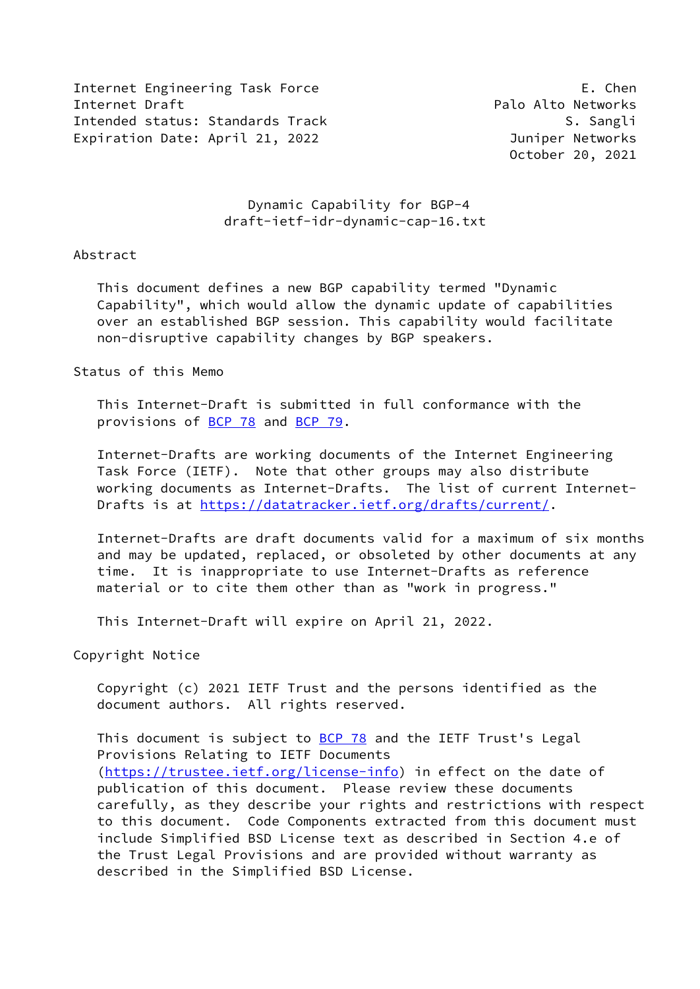Internet Engineering Task Force E. Chen Internet Draft **Palo Alto Networks** Palo Alto Networks Intended status: Standards Track S. Sangli Expiration Date: April 21, 2022 **Interpreterate Contract Contracts** Juniper Networks

October 20, 2021

## Dynamic Capability for BGP-4 draft-ietf-idr-dynamic-cap-16.txt

### Abstract

 This document defines a new BGP capability termed "Dynamic Capability", which would allow the dynamic update of capabilities over an established BGP session. This capability would facilitate non-disruptive capability changes by BGP speakers.

### Status of this Memo

 This Internet-Draft is submitted in full conformance with the provisions of [BCP 78](https://datatracker.ietf.org/doc/pdf/bcp78) and [BCP 79](https://datatracker.ietf.org/doc/pdf/bcp79).

 Internet-Drafts are working documents of the Internet Engineering Task Force (IETF). Note that other groups may also distribute working documents as Internet-Drafts. The list of current Internet- Drafts is at<https://datatracker.ietf.org/drafts/current/>.

 Internet-Drafts are draft documents valid for a maximum of six months and may be updated, replaced, or obsoleted by other documents at any time. It is inappropriate to use Internet-Drafts as reference material or to cite them other than as "work in progress."

This Internet-Draft will expire on April 21, 2022.

Copyright Notice

 Copyright (c) 2021 IETF Trust and the persons identified as the document authors. All rights reserved.

This document is subject to **[BCP 78](https://datatracker.ietf.org/doc/pdf/bcp78)** and the IETF Trust's Legal Provisions Relating to IETF Documents [\(https://trustee.ietf.org/license-info](https://trustee.ietf.org/license-info)) in effect on the date of publication of this document. Please review these documents carefully, as they describe your rights and restrictions with respect to this document. Code Components extracted from this document must include Simplified BSD License text as described in Section 4.e of the Trust Legal Provisions and are provided without warranty as described in the Simplified BSD License.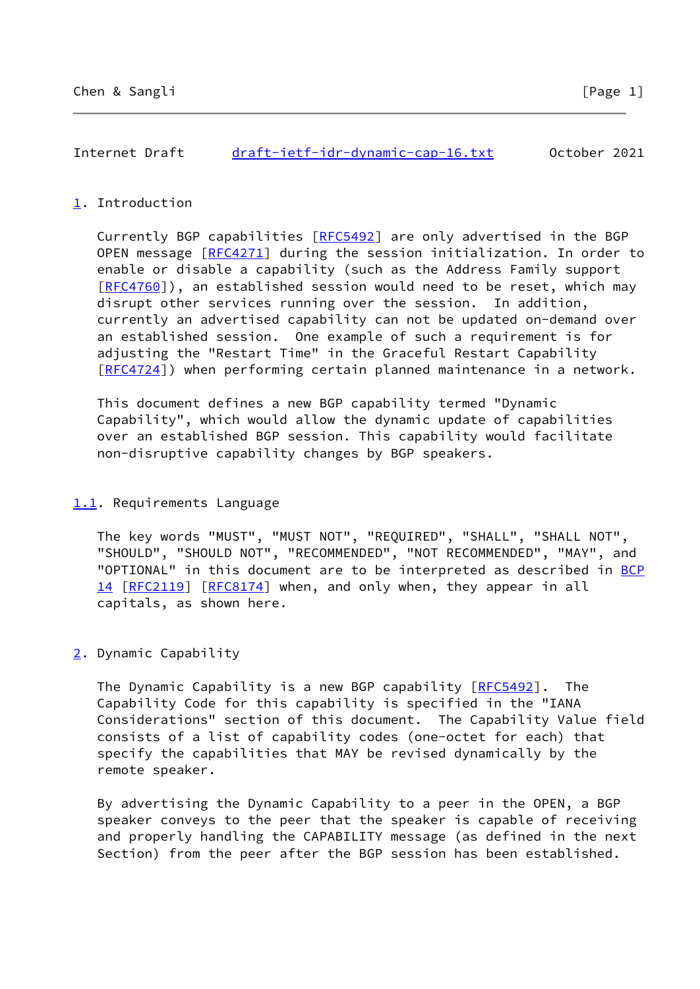# <span id="page-1-0"></span>[1](#page-1-0). Introduction

 Currently BGP capabilities [[RFC5492\]](https://datatracker.ietf.org/doc/pdf/rfc5492) are only advertised in the BGP OPEN message [\[RFC4271](https://datatracker.ietf.org/doc/pdf/rfc4271)] during the session initialization. In order to enable or disable a capability (such as the Address Family support [\[RFC4760](https://datatracker.ietf.org/doc/pdf/rfc4760)]), an established session would need to be reset, which may disrupt other services running over the session. In addition, currently an advertised capability can not be updated on-demand over an established session. One example of such a requirement is for adjusting the "Restart Time" in the Graceful Restart Capability [\[RFC4724](https://datatracker.ietf.org/doc/pdf/rfc4724)]) when performing certain planned maintenance in a network.

 This document defines a new BGP capability termed "Dynamic Capability", which would allow the dynamic update of capabilities over an established BGP session. This capability would facilitate non-disruptive capability changes by BGP speakers.

## <span id="page-1-1"></span>[1.1](#page-1-1). Requirements Language

 The key words "MUST", "MUST NOT", "REQUIRED", "SHALL", "SHALL NOT", "SHOULD", "SHOULD NOT", "RECOMMENDED", "NOT RECOMMENDED", "MAY", and "OPTIONAL" in this document are to be interpreted as described in [BCP](https://datatracker.ietf.org/doc/pdf/bcp14) [14](https://datatracker.ietf.org/doc/pdf/bcp14) [[RFC2119\]](https://datatracker.ietf.org/doc/pdf/rfc2119) [\[RFC8174](https://datatracker.ietf.org/doc/pdf/rfc8174)] when, and only when, they appear in all capitals, as shown here.

# <span id="page-1-2"></span>[2](#page-1-2). Dynamic Capability

The Dynamic Capability is a new BGP capability [\[RFC5492](https://datatracker.ietf.org/doc/pdf/rfc5492)]. The Capability Code for this capability is specified in the "IANA Considerations" section of this document. The Capability Value field consists of a list of capability codes (one-octet for each) that specify the capabilities that MAY be revised dynamically by the remote speaker.

 By advertising the Dynamic Capability to a peer in the OPEN, a BGP speaker conveys to the peer that the speaker is capable of receiving and properly handling the CAPABILITY message (as defined in the next Section) from the peer after the BGP session has been established.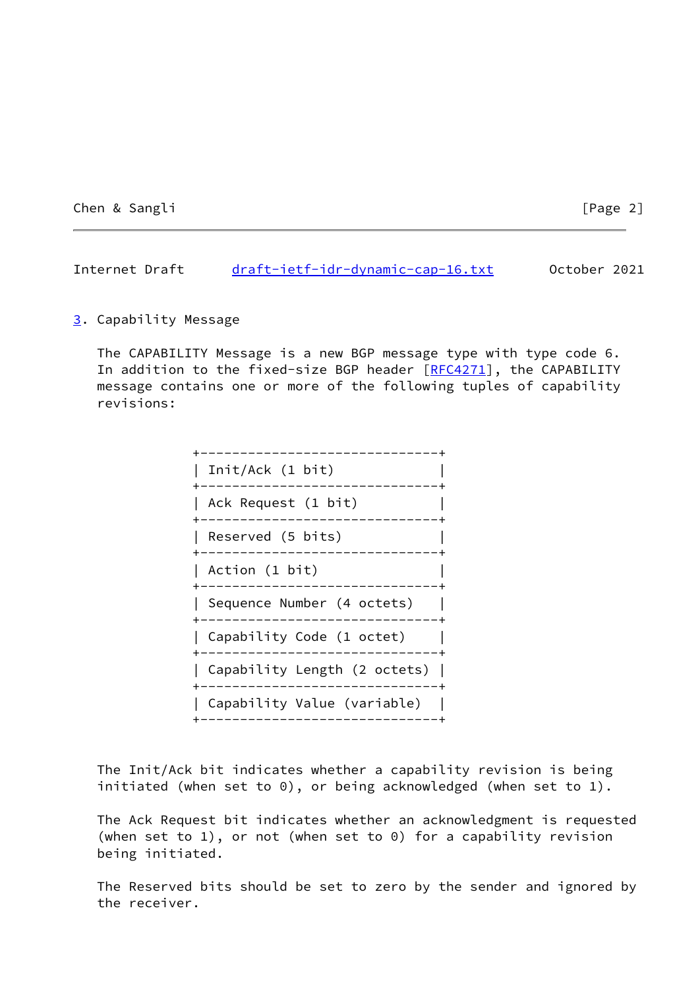Chen & Sangli **Chen & Sangli** [Page 2]

Internet Draft [draft-ietf-idr-dynamic-cap-16.txt](https://datatracker.ietf.org/doc/pdf/draft-ietf-idr-dynamic-cap-16.txt) 0ctober 2021

### <span id="page-2-0"></span>[3](#page-2-0). Capability Message

 The CAPABILITY Message is a new BGP message type with type code 6. In addition to the fixed-size BGP header [\[RFC4271](https://datatracker.ietf.org/doc/pdf/rfc4271)], the CAPABILITY message contains one or more of the following tuples of capability revisions:

| Init/Ack (1 bit)                                    |
|-----------------------------------------------------|
| Ack Request (1 bit)                                 |
| Reserved (5 bits)                                   |
| Action (1 bit)                                      |
| Sequence Number (4 octets)<br>_____________________ |
| Capability Code (1 octet)                           |
| Capability Length (2 octets)                        |
| ___________________<br>Capability Value (variable)  |
|                                                     |

 The Init/Ack bit indicates whether a capability revision is being initiated (when set to 0), or being acknowledged (when set to 1).

 The Ack Request bit indicates whether an acknowledgment is requested (when set to 1), or not (when set to 0) for a capability revision being initiated.

 The Reserved bits should be set to zero by the sender and ignored by the receiver.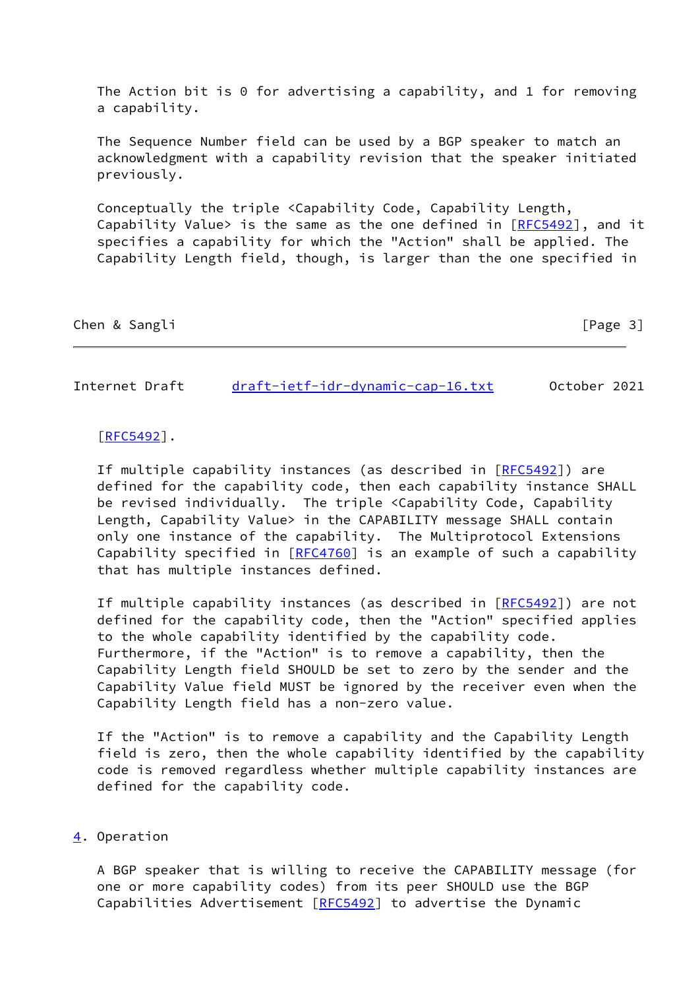The Action bit is 0 for advertising a capability, and 1 for removing a capability.

 The Sequence Number field can be used by a BGP speaker to match an acknowledgment with a capability revision that the speaker initiated previously.

 Conceptually the triple <Capability Code, Capability Length, Capability Value> is the same as the one defined in  $[REC5492]$ , and it specifies a capability for which the "Action" shall be applied. The Capability Length field, though, is larger than the one specified in

|  | Chen & Sangli |  |  | [Page 3] |  |
|--|---------------|--|--|----------|--|
|  |               |  |  |          |  |

Internet Draft [draft-ietf-idr-dynamic-cap-16.txt](https://datatracker.ietf.org/doc/pdf/draft-ietf-idr-dynamic-cap-16.txt) October 2021

#### [\[RFC5492](https://datatracker.ietf.org/doc/pdf/rfc5492)].

If multiple capability instances (as described in [[RFC5492](https://datatracker.ietf.org/doc/pdf/rfc5492)]) are defined for the capability code, then each capability instance SHALL be revised individually. The triple <Capability Code, Capability Length, Capability Value> in the CAPABILITY message SHALL contain only one instance of the capability. The Multiprotocol Extensions Capability specified in [\[RFC4760](https://datatracker.ietf.org/doc/pdf/rfc4760)] is an example of such a capability that has multiple instances defined.

 If multiple capability instances (as described in [[RFC5492](https://datatracker.ietf.org/doc/pdf/rfc5492)]) are not defined for the capability code, then the "Action" specified applies to the whole capability identified by the capability code. Furthermore, if the "Action" is to remove a capability, then the Capability Length field SHOULD be set to zero by the sender and the Capability Value field MUST be ignored by the receiver even when the Capability Length field has a non-zero value.

 If the "Action" is to remove a capability and the Capability Length field is zero, then the whole capability identified by the capability code is removed regardless whether multiple capability instances are defined for the capability code.

# <span id="page-3-0"></span>[4](#page-3-0). Operation

 A BGP speaker that is willing to receive the CAPABILITY message (for one or more capability codes) from its peer SHOULD use the BGP Capabilities Advertisement [[RFC5492\]](https://datatracker.ietf.org/doc/pdf/rfc5492) to advertise the Dynamic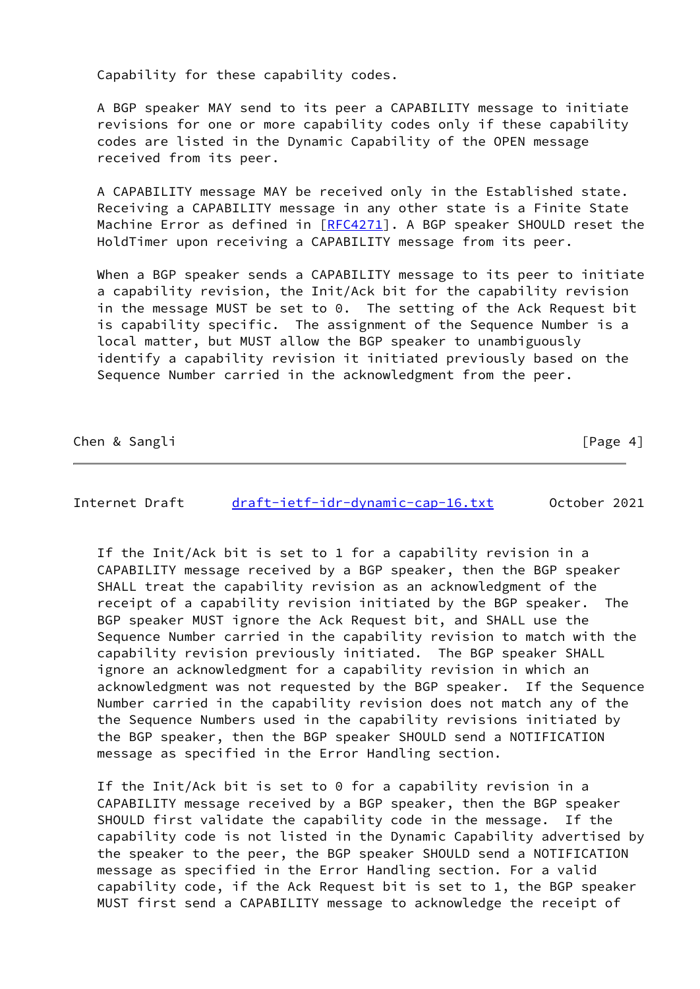Capability for these capability codes.

 A BGP speaker MAY send to its peer a CAPABILITY message to initiate revisions for one or more capability codes only if these capability codes are listed in the Dynamic Capability of the OPEN message received from its peer.

 A CAPABILITY message MAY be received only in the Established state. Receiving a CAPABILITY message in any other state is a Finite State Machine Error as defined in  $[RECA271]$ . A BGP speaker SHOULD reset the HoldTimer upon receiving a CAPABILITY message from its peer.

When a BGP speaker sends a CAPABILITY message to its peer to initiate a capability revision, the Init/Ack bit for the capability revision in the message MUST be set to 0. The setting of the Ack Request bit is capability specific. The assignment of the Sequence Number is a local matter, but MUST allow the BGP speaker to unambiguously identify a capability revision it initiated previously based on the Sequence Number carried in the acknowledgment from the peer.

Chen & Sangli **channel and Chen & Sangli**  $[Page 4]$ 

Internet Draft [draft-ietf-idr-dynamic-cap-16.txt](https://datatracker.ietf.org/doc/pdf/draft-ietf-idr-dynamic-cap-16.txt) October 2021

 If the Init/Ack bit is set to 1 for a capability revision in a CAPABILITY message received by a BGP speaker, then the BGP speaker SHALL treat the capability revision as an acknowledgment of the receipt of a capability revision initiated by the BGP speaker. The BGP speaker MUST ignore the Ack Request bit, and SHALL use the Sequence Number carried in the capability revision to match with the capability revision previously initiated. The BGP speaker SHALL ignore an acknowledgment for a capability revision in which an acknowledgment was not requested by the BGP speaker. If the Sequence Number carried in the capability revision does not match any of the the Sequence Numbers used in the capability revisions initiated by the BGP speaker, then the BGP speaker SHOULD send a NOTIFICATION message as specified in the Error Handling section.

 If the Init/Ack bit is set to 0 for a capability revision in a CAPABILITY message received by a BGP speaker, then the BGP speaker SHOULD first validate the capability code in the message. If the capability code is not listed in the Dynamic Capability advertised by the speaker to the peer, the BGP speaker SHOULD send a NOTIFICATION message as specified in the Error Handling section. For a valid capability code, if the Ack Request bit is set to 1, the BGP speaker MUST first send a CAPABILITY message to acknowledge the receipt of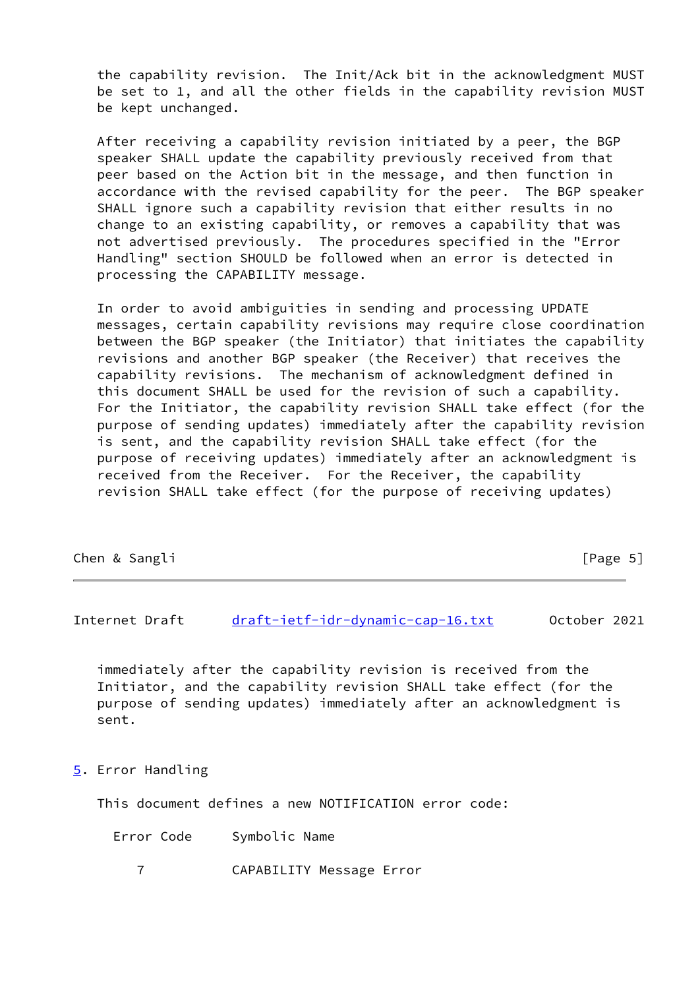the capability revision. The Init/Ack bit in the acknowledgment MUST be set to 1, and all the other fields in the capability revision MUST be kept unchanged.

 After receiving a capability revision initiated by a peer, the BGP speaker SHALL update the capability previously received from that peer based on the Action bit in the message, and then function in accordance with the revised capability for the peer. The BGP speaker SHALL ignore such a capability revision that either results in no change to an existing capability, or removes a capability that was not advertised previously. The procedures specified in the "Error Handling" section SHOULD be followed when an error is detected in processing the CAPABILITY message.

 In order to avoid ambiguities in sending and processing UPDATE messages, certain capability revisions may require close coordination between the BGP speaker (the Initiator) that initiates the capability revisions and another BGP speaker (the Receiver) that receives the capability revisions. The mechanism of acknowledgment defined in this document SHALL be used for the revision of such a capability. For the Initiator, the capability revision SHALL take effect (for the purpose of sending updates) immediately after the capability revision is sent, and the capability revision SHALL take effect (for the purpose of receiving updates) immediately after an acknowledgment is received from the Receiver. For the Receiver, the capability revision SHALL take effect (for the purpose of receiving updates)

| Chen & Sangli | [Page $5$ ] |  |  |
|---------------|-------------|--|--|
|---------------|-------------|--|--|

Internet Draft [draft-ietf-idr-dynamic-cap-16.txt](https://datatracker.ietf.org/doc/pdf/draft-ietf-idr-dynamic-cap-16.txt) October 2021

 immediately after the capability revision is received from the Initiator, and the capability revision SHALL take effect (for the purpose of sending updates) immediately after an acknowledgment is sent.

<span id="page-5-0"></span>[5](#page-5-0). Error Handling

This document defines a new NOTIFICATION error code:

Error Code Symbolic Name

7 CAPABILITY Message Error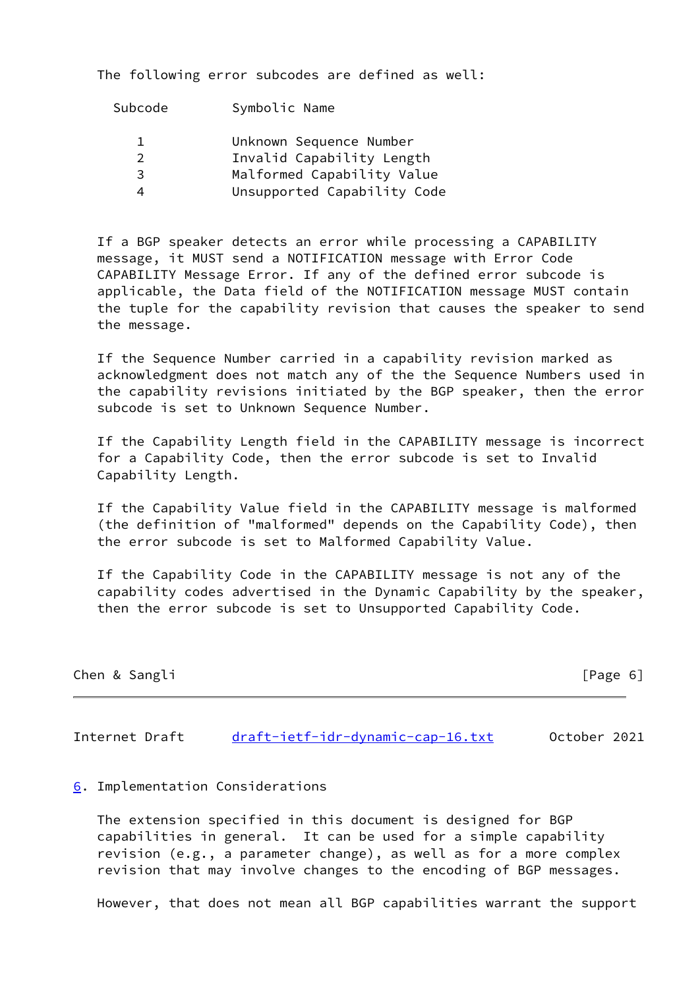The following error subcodes are defined as well:

| Subcode       | Symbolic Name               |
|---------------|-----------------------------|
|               | Unknown Sequence Number     |
| $\mathcal{P}$ | Invalid Capability Length   |
| 3             | Malformed Capability Value  |
|               | Unsupported Capability Code |
|               |                             |

 If a BGP speaker detects an error while processing a CAPABILITY message, it MUST send a NOTIFICATION message with Error Code CAPABILITY Message Error. If any of the defined error subcode is applicable, the Data field of the NOTIFICATION message MUST contain the tuple for the capability revision that causes the speaker to send the message.

 If the Sequence Number carried in a capability revision marked as acknowledgment does not match any of the the Sequence Numbers used in the capability revisions initiated by the BGP speaker, then the error subcode is set to Unknown Sequence Number.

 If the Capability Length field in the CAPABILITY message is incorrect for a Capability Code, then the error subcode is set to Invalid Capability Length.

 If the Capability Value field in the CAPABILITY message is malformed (the definition of "malformed" depends on the Capability Code), then the error subcode is set to Malformed Capability Value.

 If the Capability Code in the CAPABILITY message is not any of the capability codes advertised in the Dynamic Capability by the speaker, then the error subcode is set to Unsupported Capability Code.

| Chen & Sangli | [Page 6] |
|---------------|----------|
|               |          |

Internet Draft [draft-ietf-idr-dynamic-cap-16.txt](https://datatracker.ietf.org/doc/pdf/draft-ietf-idr-dynamic-cap-16.txt) 0ctober 2021

## <span id="page-6-0"></span>[6](#page-6-0). Implementation Considerations

 The extension specified in this document is designed for BGP capabilities in general. It can be used for a simple capability revision (e.g., a parameter change), as well as for a more complex revision that may involve changes to the encoding of BGP messages.

However, that does not mean all BGP capabilities warrant the support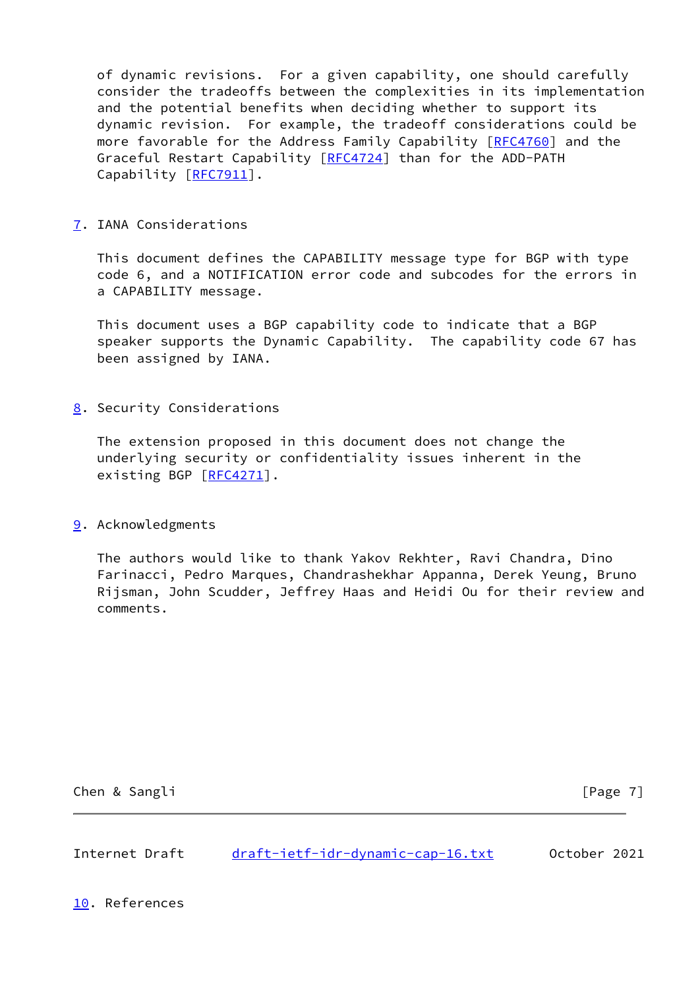of dynamic revisions. For a given capability, one should carefully consider the tradeoffs between the complexities in its implementation and the potential benefits when deciding whether to support its dynamic revision. For example, the tradeoff considerations could be more favorable for the Address Family Capability [\[RFC4760](https://datatracker.ietf.org/doc/pdf/rfc4760)] and the Graceful Restart Capability [\[RFC4724](https://datatracker.ietf.org/doc/pdf/rfc4724)] than for the ADD-PATH Capability [[RFC7911\]](https://datatracker.ietf.org/doc/pdf/rfc7911).

<span id="page-7-0"></span>[7](#page-7-0). IANA Considerations

 This document defines the CAPABILITY message type for BGP with type code 6, and a NOTIFICATION error code and subcodes for the errors in a CAPABILITY message.

 This document uses a BGP capability code to indicate that a BGP speaker supports the Dynamic Capability. The capability code 67 has been assigned by IANA.

<span id="page-7-1"></span>[8](#page-7-1). Security Considerations

 The extension proposed in this document does not change the underlying security or confidentiality issues inherent in the existing BGP [\[RFC4271](https://datatracker.ietf.org/doc/pdf/rfc4271)].

<span id="page-7-2"></span>[9](#page-7-2). Acknowledgments

 The authors would like to thank Yakov Rekhter, Ravi Chandra, Dino Farinacci, Pedro Marques, Chandrashekhar Appanna, Derek Yeung, Bruno Rijsman, John Scudder, Jeffrey Haas and Heidi Ou for their review and comments.

Chen & Sangli **Chen & Sangli** [Page 7]

Internet Draft [draft-ietf-idr-dynamic-cap-16.txt](https://datatracker.ietf.org/doc/pdf/draft-ietf-idr-dynamic-cap-16.txt) 0ctober 2021

<span id="page-7-3"></span>[10.](#page-7-3) References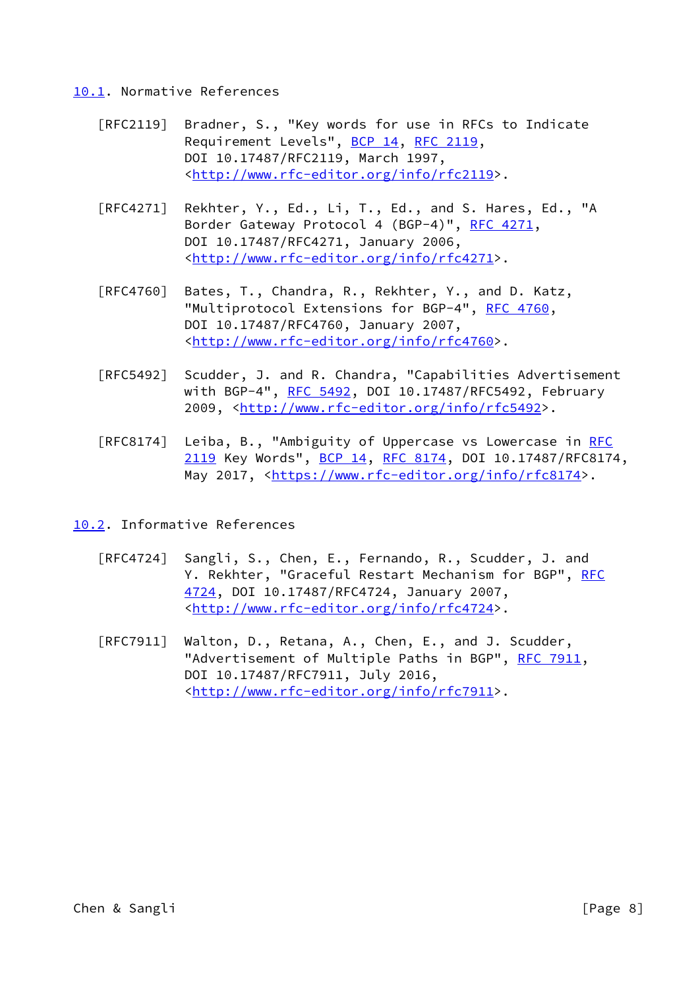#### <span id="page-8-0"></span>[10.1](#page-8-0). Normative References

- [RFC2119] Bradner, S., "Key words for use in RFCs to Indicate Requirement Levels", [BCP 14](https://datatracker.ietf.org/doc/pdf/bcp14), [RFC 2119](https://datatracker.ietf.org/doc/pdf/rfc2119), DOI 10.17487/RFC2119, March 1997, <<http://www.rfc-editor.org/info/rfc2119>>.
- [RFC4271] Rekhter, Y., Ed., Li, T., Ed., and S. Hares, Ed., "A Border Gateway Protocol 4 (BGP-4)", [RFC 4271,](https://datatracker.ietf.org/doc/pdf/rfc4271) DOI 10.17487/RFC4271, January 2006, <<http://www.rfc-editor.org/info/rfc4271>>.
- [RFC4760] Bates, T., Chandra, R., Rekhter, Y., and D. Katz, "Multiprotocol Extensions for BGP-4", [RFC 4760](https://datatracker.ietf.org/doc/pdf/rfc4760), DOI 10.17487/RFC4760, January 2007, <<http://www.rfc-editor.org/info/rfc4760>>.
- [RFC5492] Scudder, J. and R. Chandra, "Capabilities Advertisement with BGP-4", [RFC 5492](https://datatracker.ietf.org/doc/pdf/rfc5492), DOI 10.17487/RFC5492, February 2009, [<http://www.rfc-editor.org/info/rfc5492](http://www.rfc-editor.org/info/rfc5492)>.
- [RFC8174] Leiba, B., "Ambiguity of Uppercase vs Lowercase in [RFC](https://datatracker.ietf.org/doc/pdf/rfc2119) [2119](https://datatracker.ietf.org/doc/pdf/rfc2119) Key Words", [BCP 14](https://datatracker.ietf.org/doc/pdf/bcp14), [RFC 8174,](https://datatracker.ietf.org/doc/pdf/rfc8174) DOI 10.17487/RFC8174, May 2017, [<https://www.rfc-editor.org/info/rfc8174](https://www.rfc-editor.org/info/rfc8174)>.

<span id="page-8-1"></span>[10.2](#page-8-1). Informative References

- [RFC4724] Sangli, S., Chen, E., Fernando, R., Scudder, J. and Y. Rekhter, "Graceful Restart Mechanism for BGP", [RFC](https://datatracker.ietf.org/doc/pdf/rfc4724) [4724,](https://datatracker.ietf.org/doc/pdf/rfc4724) DOI 10.17487/RFC4724, January 2007, <<http://www.rfc-editor.org/info/rfc4724>>.
- [RFC7911] Walton, D., Retana, A., Chen, E., and J. Scudder, "Advertisement of Multiple Paths in BGP", [RFC 7911](https://datatracker.ietf.org/doc/pdf/rfc7911), DOI 10.17487/RFC7911, July 2016, <<http://www.rfc-editor.org/info/rfc7911>>.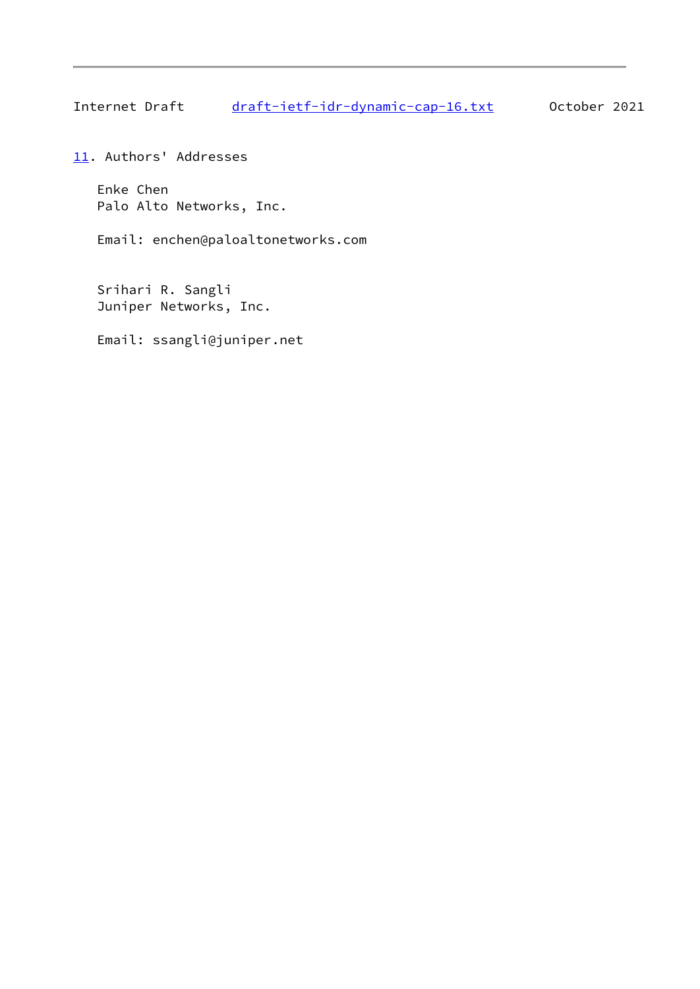Internet Draft [draft-ietf-idr-dynamic-cap-16.txt](https://datatracker.ietf.org/doc/pdf/draft-ietf-idr-dynamic-cap-16.txt) 0ctober 2021

<span id="page-9-0"></span>[11.](#page-9-0) Authors' Addresses

 Enke Chen Palo Alto Networks, Inc.

Email: enchen@paloaltonetworks.com

 Srihari R. Sangli Juniper Networks, Inc.

Email: ssangli@juniper.net